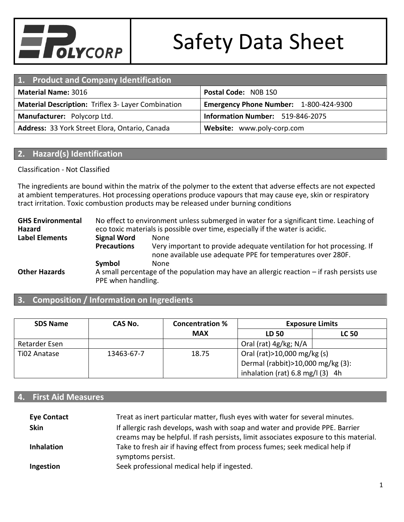

| 1. Product and Company Identification                     |                                        |  |
|-----------------------------------------------------------|----------------------------------------|--|
| Postal Code: NOB 1SO<br><b>Material Name: 3016</b>        |                                        |  |
| <b>Material Description: Triflex 3- Layer Combination</b> | Emergency Phone Number: 1-800-424-9300 |  |
| Manufacturer: Polycorp Ltd.                               | Information Number: 519-846-2075       |  |
| Address: 33 York Street Elora, Ontario, Canada            | Website: www.poly-corp.com             |  |

#### **2. Hazard(s) Identification**

#### Classification - Not Classified

The ingredients are bound within the matrix of the polymer to the extent that adverse effects are not expected at ambient temperatures. Hot processing operations produce vapours that may cause eye, skin or respiratory tract irritation. Toxic combustion products may be released under burning conditions

**GHS Environmental Hazard** No effect to environment unless submerged in water for a significant time. Leaching of eco toxic materials is possible over time, especially if the water is acidic. **Label Elements Signal Word** None **Precautions** Very important to provide adequate ventilation for hot processing. If none available use adequate PPE for temperatures over 280F. **Symbol** None **Other Hazards** A small percentage of the population may have an allergic reaction – if rash persists use PPE when handling.

#### **3. Composition / Information on Ingredients**

| <b>SDS Name</b> | CAS No.    | <b>Concentration %</b> |                                            | <b>Exposure Limits</b> |
|-----------------|------------|------------------------|--------------------------------------------|------------------------|
|                 |            | <b>MAX</b>             | LD 50                                      | <b>LC 50</b>           |
| Retarder Esen   |            |                        | Oral (rat) 4g/kg; N/A                      |                        |
| Ti02 Anatase    | 13463-67-7 | 18.75                  | Oral (rat) > 10,000 mg/kg (s)              |                        |
|                 |            |                        | Dermal (rabbit) > 10,000 mg/kg (3):        |                        |
|                 |            |                        | inhalation (rat) $6.8 \text{ mg/l}$ (3) 4h |                        |

#### **4. First Aid Measures**

| <b>Eye Contact</b> | Treat as inert particular matter, flush eyes with water for several minutes.         |
|--------------------|--------------------------------------------------------------------------------------|
| <b>Skin</b>        | If allergic rash develops, wash with soap and water and provide PPE. Barrier         |
|                    | creams may be helpful. If rash persists, limit associates exposure to this material. |
| <b>Inhalation</b>  | Take to fresh air if having effect from process fumes; seek medical help if          |
|                    | symptoms persist.                                                                    |
| Ingestion          | Seek professional medical help if ingested.                                          |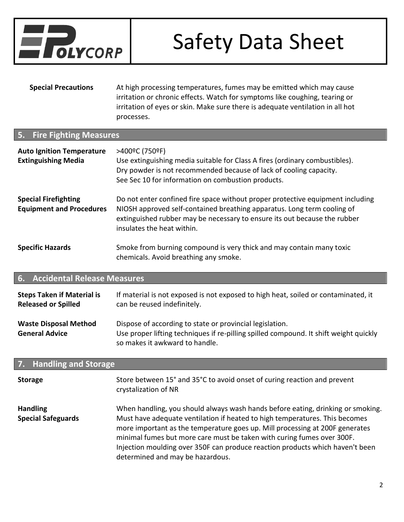

**Special Precautions** At high processing temperatures, fumes may be emitted which may cause irritation or chronic effects. Watch for symptoms like coughing, tearing or irritation of eyes or skin. Make sure there is adequate ventilation in all hot processes.

#### **5. Fire Fighting Measures**

| <b>Auto Ignition Temperature</b><br><b>Extinguishing Media</b> | >400°C (750°F)<br>Use extinguishing media suitable for Class A fires (ordinary combustibles).<br>Dry powder is not recommended because of lack of cooling capacity.<br>See Sec 10 for information on combustion products.                                            |
|----------------------------------------------------------------|----------------------------------------------------------------------------------------------------------------------------------------------------------------------------------------------------------------------------------------------------------------------|
| <b>Special Firefighting</b><br><b>Equipment and Procedures</b> | Do not enter confined fire space without proper protective equipment including<br>NIOSH approved self-contained breathing apparatus. Long term cooling of<br>extinguished rubber may be necessary to ensure its out because the rubber<br>insulates the heat within. |
| <b>Specific Hazards</b>                                        | Smoke from burning compound is very thick and may contain many toxic<br>chemicals. Avoid breathing any smoke.                                                                                                                                                        |

### **6. Accidental Release Measures**

| <b>Steps Taken if Material is</b>                     | If material is not exposed is not exposed to high heat, soiled or contaminated, it                                                                                                  |
|-------------------------------------------------------|-------------------------------------------------------------------------------------------------------------------------------------------------------------------------------------|
| <b>Released or Spilled</b>                            | can be reused indefinitely.                                                                                                                                                         |
| <b>Waste Disposal Method</b><br><b>General Advice</b> | Dispose of according to state or provincial legislation.<br>Use proper lifting techniques if re-pilling spilled compound. It shift weight quickly<br>so makes it awkward to handle. |

#### **7. Handling and Storage**

| <b>Storage</b>                               | Store between 15° and 35°C to avoid onset of curing reaction and prevent<br>crystalization of NR                                                                                                                                                                                                                                                                                                                                              |
|----------------------------------------------|-----------------------------------------------------------------------------------------------------------------------------------------------------------------------------------------------------------------------------------------------------------------------------------------------------------------------------------------------------------------------------------------------------------------------------------------------|
| <b>Handling</b><br><b>Special Safeguards</b> | When handling, you should always wash hands before eating, drinking or smoking.<br>Must have adequate ventilation if heated to high temperatures. This becomes<br>more important as the temperature goes up. Mill processing at 200F generates<br>minimal fumes but more care must be taken with curing fumes over 300F.<br>Injection moulding over 350F can produce reaction products which haven't been<br>determined and may be hazardous. |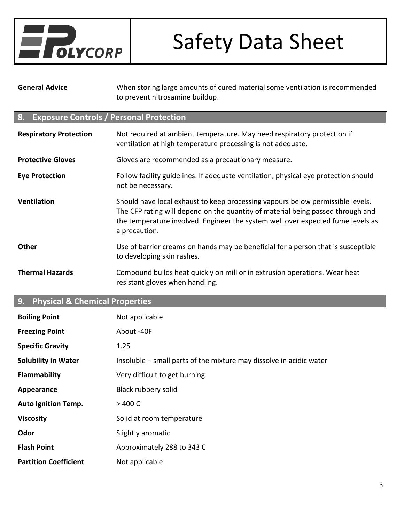

**General Advice** When storing large amounts of cured material some ventilation is recommended to prevent nitrosamine buildup.

### **8. Exposure Controls / Personal Protection**

| <b>Respiratory Protection</b> | Not required at ambient temperature. May need respiratory protection if<br>ventilation at high temperature processing is not adequate.                                                                                                                                |
|-------------------------------|-----------------------------------------------------------------------------------------------------------------------------------------------------------------------------------------------------------------------------------------------------------------------|
| <b>Protective Gloves</b>      | Gloves are recommended as a precautionary measure.                                                                                                                                                                                                                    |
| <b>Eye Protection</b>         | Follow facility guidelines. If adequate ventilation, physical eye protection should<br>not be necessary.                                                                                                                                                              |
| <b>Ventilation</b>            | Should have local exhaust to keep processing vapours below permissible levels.<br>The CFP rating will depend on the quantity of material being passed through and<br>the temperature involved. Engineer the system well over expected fume levels as<br>a precaution. |
| <b>Other</b>                  | Use of barrier creams on hands may be beneficial for a person that is susceptible<br>to developing skin rashes.                                                                                                                                                       |
| <b>Thermal Hazards</b>        | Compound builds heat quickly on mill or in extrusion operations. Wear heat<br>resistant gloves when handling.                                                                                                                                                         |

### **9. Physical & Chemical Properties**

| <b>Boiling Point</b>         | Not applicable                                                      |
|------------------------------|---------------------------------------------------------------------|
| <b>Freezing Point</b>        | About -40F                                                          |
| <b>Specific Gravity</b>      | 1.25                                                                |
| <b>Solubility in Water</b>   | Insoluble – small parts of the mixture may dissolve in acidic water |
| <b>Flammability</b>          | Very difficult to get burning                                       |
| Appearance                   | Black rubbery solid                                                 |
| <b>Auto Ignition Temp.</b>   | >400 C                                                              |
| <b>Viscosity</b>             | Solid at room temperature                                           |
| Odor                         | Slightly aromatic                                                   |
| <b>Flash Point</b>           | Approximately 288 to 343 C                                          |
| <b>Partition Coefficient</b> | Not applicable                                                      |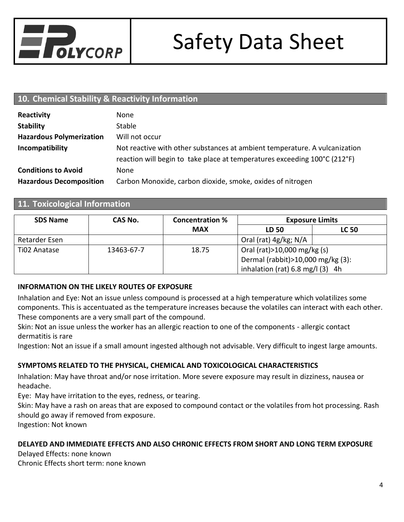

### **10. Chemical Stability & Reactivity Information**

| Reactivity                      | None                                                                                                                                                    |
|---------------------------------|---------------------------------------------------------------------------------------------------------------------------------------------------------|
| <b>Stability</b>                | <b>Stable</b>                                                                                                                                           |
| <b>Hazardous Polymerization</b> | Will not occur                                                                                                                                          |
| Incompatibility                 | Not reactive with other substances at ambient temperature. A vulcanization<br>reaction will begin to take place at temperatures exceeding 100°C (212°F) |
| <b>Conditions to Avoid</b>      | None                                                                                                                                                    |
| <b>Hazardous Decomposition</b>  | Carbon Monoxide, carbon dioxide, smoke, oxides of nitrogen                                                                                              |

#### **11. Toxicological Information**

| <b>SDS Name</b> | CAS No.    | <b>Concentration %</b> | <b>Exposure Limits</b>                     |              |
|-----------------|------------|------------------------|--------------------------------------------|--------------|
|                 |            | <b>MAX</b>             | LD 50                                      | <b>LC 50</b> |
| Retarder Esen   |            |                        | Oral (rat) 4g/kg; N/A                      |              |
| Ti02 Anatase    | 13463-67-7 | 18.75                  | Oral (rat) > 10,000 mg/kg (s)              |              |
|                 |            |                        | Dermal (rabbit) > 10,000 mg/kg (3):        |              |
|                 |            |                        | inhalation (rat) $6.8 \text{ mg/l}$ (3) 4h |              |

#### **INFORMATION ON THE LIKELY ROUTES OF EXPOSURE**

Inhalation and Eye: Not an issue unless compound is processed at a high temperature which volatilizes some components. This is accentuated as the temperature increases because the volatiles can interact with each other. These components are a very small part of the compound.

Skin: Not an issue unless the worker has an allergic reaction to one of the components - allergic contact dermatitis is rare

Ingestion: Not an issue if a small amount ingested although not advisable. Very difficult to ingest large amounts.

#### **SYMPTOMS RELATED TO THE PHYSICAL, CHEMICAL AND TOXICOLOGICAL CHARACTERISTICS**

Inhalation: May have throat and/or nose irritation. More severe exposure may result in dizziness, nausea or headache.

Eye: May have irritation to the eyes, redness, or tearing.

Skin: May have a rash on areas that are exposed to compound contact or the volatiles from hot processing. Rash should go away if removed from exposure.

Ingestion: Not known

#### **DELAYED AND IMMEDIATE EFFECTS AND ALSO CHRONIC EFFECTS FROM SHORT AND LONG TERM EXPOSURE**

Delayed Effects: none known Chronic Effects short term: none known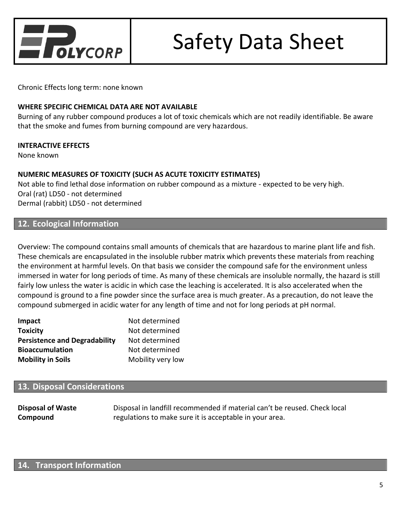

Chronic Effects long term: none known

#### **WHERE SPECIFIC CHEMICAL DATA ARE NOT AVAILABLE**

Burning of any rubber compound produces a lot of toxic chemicals which are not readily identifiable. Be aware that the smoke and fumes from burning compound are very hazardous.

#### **INTERACTIVE EFFECTS**

None known

#### **NUMERIC MEASURES OF TOXICITY (SUCH AS ACUTE TOXICITY ESTIMATES)**

Not able to find lethal dose information on rubber compound as a mixture - expected to be very high. Oral (rat) LD50 - not determined Dermal (rabbit) LD50 - not determined

#### **12. Ecological Information**

Overview: The compound contains small amounts of chemicals that are hazardous to marine plant life and fish. These chemicals are encapsulated in the insoluble rubber matrix which prevents these materials from reaching the environment at harmful levels. On that basis we consider the compound safe for the environment unless immersed in water for long periods of time. As many of these chemicals are insoluble normally, the hazard is still fairly low unless the water is acidic in which case the leaching is accelerated. It is also accelerated when the compound is ground to a fine powder since the surface area is much greater. As a precaution, do not leave the compound submerged in acidic water for any length of time and not for long periods at pH normal.

| Impact                               | Not determined    |
|--------------------------------------|-------------------|
| <b>Toxicity</b>                      | Not determined    |
| <b>Persistence and Degradability</b> | Not determined    |
| <b>Bioaccumulation</b>               | Not determined    |
| <b>Mobility in Soils</b>             | Mobility very low |

#### **13. Disposal Considerations**

| <b>Disposal of Waste</b> | Disposal in landfill recommended if material can't be reused. Check local |
|--------------------------|---------------------------------------------------------------------------|
| Compound                 | regulations to make sure it is acceptable in your area.                   |